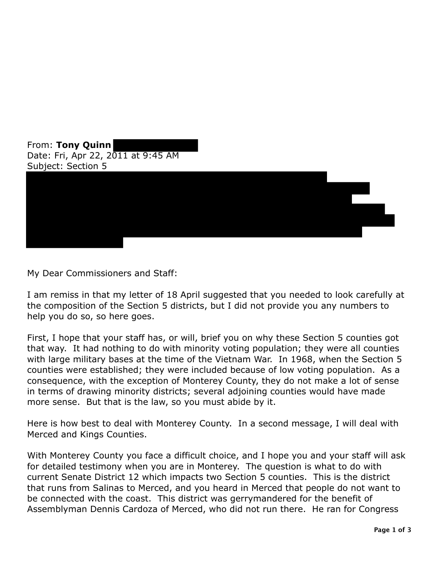From: **Tony Quinn**  Date: Fri, Apr 22, 2011 at 9:45 AM Subject: Section 5



My Dear Commissioners and Staff:

I am remiss in that my letter of 18 April suggested that you needed to look carefully at the composition of the Section 5 districts, but I did not provide you any numbers to help you do so, so here goes.

First, I hope that your staff has, or will, brief you on why these Section 5 counties got that way. It had nothing to do with minority voting population; they were all counties with large military bases at the time of the Vietnam War. In 1968, when the Section 5 counties were established; they were included because of low voting population. As a consequence, with the exception of Monterey County, they do not make a lot of sense in terms of drawing minority districts; several adjoining counties would have made more sense. But that is the law, so you must abide by it.

Here is how best to deal with Monterey County. In a second message, I will deal with Merced and Kings Counties.

With Monterey County you face a difficult choice, and I hope you and your staff will ask for detailed testimony when you are in Monterey. The question is what to do with current Senate District 12 which impacts two Section 5 counties. This is the district that runs from Salinas to Merced, and you heard in Merced that people do not want to be connected with the coast. This district was gerrymandered for the benefit of Assemblyman Dennis Cardoza of Merced, who did not run there. He ran for Congress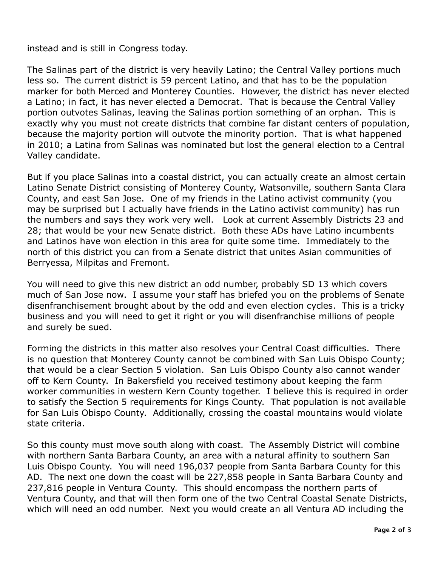instead and is still in Congress today.

 The Salinas part of the district is very heavily Latino; the Central Valley portions much less so. The current district is 59 percent Latino, and that has to be the population marker for both Merced and Monterey Counties. However, the district has never elected a Latino; in fact, it has never elected a Democrat. That is because the Central Valley portion outvotes Salinas, leaving the Salinas portion something of an orphan. This is exactly why you must not create districts that combine far distant centers of population, because the majority portion will outvote the minority portion. That is what happened in 2010; a Latina from Salinas was nominated but lost the general election to a Central Valley candidate.

Valley candidate.<br>But if you place Salinas into a coastal district, you can actually create an almost certain Latino Senate District consisting of Monterey County, Watsonville, southern Santa Clara County, and east San Jose. One of my friends in the Latino activist community (you may be surprised but I actually have friends in the Latino activist community) has run the numbers and says they work very well. Look at current Assembly Districts 23 and 28; that would be your new Senate district. Both these ADs have Latino incumbents and Latinos have won election in this area for quite some time. Immediately to the north of this district you can from a Senate district that unites Asian communities of Berryessa, Milpitas and Fremont.

 You will need to give this new district an odd number, probably SD 13 which covers much of San Jose now. I assume your staff has briefed you on the problems of Senate disenfranchisement brought about by the odd and even election cycles. This is a tricky business and you will need to get it right or you will disenfranchise millions of people and surely be sued.

 Forming the districts in this matter also resolves your Central Coast difficulties. There is no question that Monterey County cannot be combined with San Luis Obispo County; that would be a clear Section 5 violation. San Luis Obispo County also cannot wander off to Kern County. In Bakersfield you received testimony about keeping the farm worker communities in western Kern County together. I believe this is required in order to satisfy the Section 5 requirements for Kings County. That population is not available for San Luis Obispo County. Additionally, crossing the coastal mountains would violate state criteria.

 So this county must move south along with coast. The Assembly District will combine with northern Santa Barbara County, an area with a natural affinity to southern San Luis Obispo County. You will need 196,037 people from Santa Barbara County for this AD. The next one down the coast will be 227,858 people in Santa Barbara County and 237,816 people in Ventura County. This should encompass the northern parts of Ventura County, and that will then form one of the two Central Coastal Senate Districts, which will need an odd number. Next you would create an all Ventura AD including the